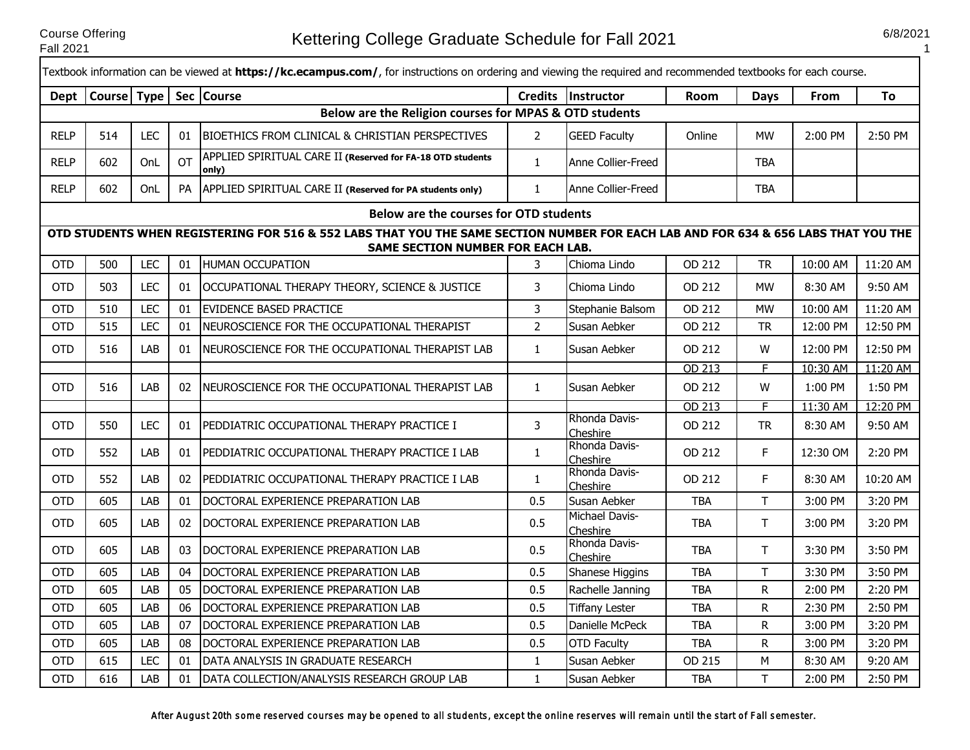Course Offering

Г

1

|             |                        |            |           | Textbook information can be viewed at <b>https://kc.ecampus.com/</b> , for instructions on ordering and viewing the required and recommended textbooks for each course. |                |                                   |             |              |             |          |
|-------------|------------------------|------------|-----------|-------------------------------------------------------------------------------------------------------------------------------------------------------------------------|----------------|-----------------------------------|-------------|--------------|-------------|----------|
| Dept        | Course Type Sec Course |            |           |                                                                                                                                                                         |                | Credits Instructor                | <b>Room</b> | Days         | <b>From</b> | To       |
|             |                        |            |           | Below are the Religion courses for MPAS & OTD students                                                                                                                  |                |                                   |             |              |             |          |
| <b>RELP</b> | 514                    | <b>LEC</b> | 01        | <b>BIOETHICS FROM CLINICAL &amp; CHRISTIAN PERSPECTIVES</b>                                                                                                             | $\overline{2}$ | <b>GEED Faculty</b>               | Online      | <b>MW</b>    | 2:00 PM     | 2:50 PM  |
| <b>RELP</b> | 602                    | OnL        | <b>OT</b> | APPLIED SPIRITUAL CARE II (Reserved for FA-18 OTD students<br>only)                                                                                                     | $\mathbf{1}$   | Anne Collier-Freed                |             | <b>TBA</b>   |             |          |
| <b>RELP</b> | 602                    | OnL        | <b>PA</b> | APPLIED SPIRITUAL CARE II (Reserved for PA students only)                                                                                                               | $\mathbf{1}$   | Anne Collier-Freed                |             | <b>TBA</b>   |             |          |
|             |                        |            |           | Below are the courses for OTD students                                                                                                                                  |                |                                   |             |              |             |          |
|             |                        |            |           | OTD STUDENTS WHEN REGISTERING FOR 516 & 552 LABS THAT YOU THE SAME SECTION NUMBER FOR EACH LAB AND FOR 634 & 656 LABS THAT YOU THE<br>SAME SECTION NUMBER FOR EACH LAB. |                |                                   |             |              |             |          |
| <b>OTD</b>  | 500                    | <b>LEC</b> | 01        | <b>HUMAN OCCUPATION</b>                                                                                                                                                 | 3              | Chioma Lindo                      | OD 212      | <b>TR</b>    | 10:00 AM    | 11:20 AM |
| <b>OTD</b>  | 503                    | <b>LEC</b> | 01        | OCCUPATIONAL THERAPY THEORY, SCIENCE & JUSTICE                                                                                                                          | 3              | Chioma Lindo                      | OD 212      | <b>MW</b>    | 8:30 AM     | 9:50 AM  |
| <b>OTD</b>  | 510                    | <b>LEC</b> | 01        | <b>EVIDENCE BASED PRACTICE</b>                                                                                                                                          | 3              | Stephanie Balsom                  | OD 212      | <b>MW</b>    | 10:00 AM    | 11:20 AM |
| <b>OTD</b>  | 515                    | <b>LEC</b> | 01        | NEUROSCIENCE FOR THE OCCUPATIONAL THERAPIST                                                                                                                             | $\overline{2}$ | Susan Aebker                      | OD 212      | <b>TR</b>    | 12:00 PM    | 12:50 PM |
| <b>OTD</b>  | 516                    | LAB        | 01        | INEUROSCIENCE FOR THE OCCUPATIONAL THERAPIST LAB                                                                                                                        | $\mathbf{1}$   | Susan Aebker                      | OD 212      | W            | 12:00 PM    | 12:50 PM |
|             |                        |            |           |                                                                                                                                                                         |                |                                   | OD 213      | F.           | 10:30 AM    | 11:20 AM |
| <b>OTD</b>  | 516                    | LAB        | 02        | NEUROSCIENCE FOR THE OCCUPATIONAL THERAPIST LAB                                                                                                                         | $\mathbf{1}$   | Susan Aebker                      | OD 212      | W            | 1:00 PM     | 1:50 PM  |
|             |                        |            |           |                                                                                                                                                                         |                |                                   | OD 213      | F.           | 11:30 AM    | 12:20 PM |
| <b>OTD</b>  | 550                    | <b>LEC</b> | 01        | PEDDIATRIC OCCUPATIONAL THERAPY PRACTICE I                                                                                                                              | 3              | Rhonda Davis-<br>Cheshire         | OD 212      | <b>TR</b>    | 8:30 AM     | 9:50 AM  |
| <b>OTD</b>  | 552                    | LAB        | 01        | PEDDIATRIC OCCUPATIONAL THERAPY PRACTICE I LAB                                                                                                                          | $\mathbf{1}$   | Rhonda Davis-<br>Cheshire         | OD 212      | F            | 12:30 OM    | 2:20 PM  |
| <b>OTD</b>  | 552                    | LAB        | 02        | PEDDIATRIC OCCUPATIONAL THERAPY PRACTICE I LAB                                                                                                                          | $\mathbf{1}$   | Rhonda Davis-<br>Cheshire         | OD 212      | F.           | 8:30 AM     | 10:20 AM |
| <b>OTD</b>  | 605                    | LAB        | 01        | DOCTORAL EXPERIENCE PREPARATION LAB                                                                                                                                     | 0.5            | Susan Aebker                      | <b>TBA</b>  | T.           | 3:00 PM     | 3:20 PM  |
| <b>OTD</b>  | 605                    | LAB        | 02        | DOCTORAL EXPERIENCE PREPARATION LAB                                                                                                                                     | 0.5            | <b>Michael Davis-</b><br>Cheshire | <b>TBA</b>  | T.           | 3:00 PM     | 3:20 PM  |
| <b>OTD</b>  | 605                    | LAB        | 03        | DOCTORAL EXPERIENCE PREPARATION LAB                                                                                                                                     | 0.5            | Rhonda Davis-<br>Cheshire         | <b>TBA</b>  | T.           | 3:30 PM     | 3:50 PM  |
| <b>OTD</b>  | 605                    | LAB        | 04        | DOCTORAL EXPERIENCE PREPARATION LAB                                                                                                                                     | 0.5            | Shanese Higgins                   | <b>TBA</b>  | T.           | 3:30 PM     | 3:50 PM  |
| <b>OTD</b>  | 605                    | LAB        | 05        | DOCTORAL EXPERIENCE PREPARATION LAB                                                                                                                                     | 0.5            | Rachelle Janning                  | <b>TBA</b>  | R            | 2:00 PM     | 2:20 PM  |
| <b>OTD</b>  | 605                    | LAB        | 06        | DOCTORAL EXPERIENCE PREPARATION LAB                                                                                                                                     | 0.5            | <b>Tiffany Lester</b>             | <b>TBA</b>  | $\mathsf{R}$ | 2:30 PM     | 2:50 PM  |
| <b>OTD</b>  | 605                    | LAB        | 07        | DOCTORAL EXPERIENCE PREPARATION LAB                                                                                                                                     | 0.5            | Danielle McPeck                   | <b>TBA</b>  | $\mathsf{R}$ | 3:00 PM     | 3:20 PM  |
| <b>OTD</b>  | 605                    | LAB        | 08        | DOCTORAL EXPERIENCE PREPARATION LAB                                                                                                                                     | 0.5            | <b>OTD Faculty</b>                | <b>TBA</b>  | R            | 3:00 PM     | 3:20 PM  |
| OTD         | 615                    | <b>LEC</b> | 01        | DATA ANALYSIS IN GRADUATE RESEARCH                                                                                                                                      | $\mathbf{1}$   | Susan Aebker                      | OD 215      | М            | 8:30 AM     | 9:20 AM  |
| <b>OTD</b>  | 616                    | LAB        | 01        | DATA COLLECTION/ANALYSIS RESEARCH GROUP LAB                                                                                                                             | $\mathbf{1}$   | Susan Aebker                      | <b>TBA</b>  | T            | 2:00 PM     | 2:50 PM  |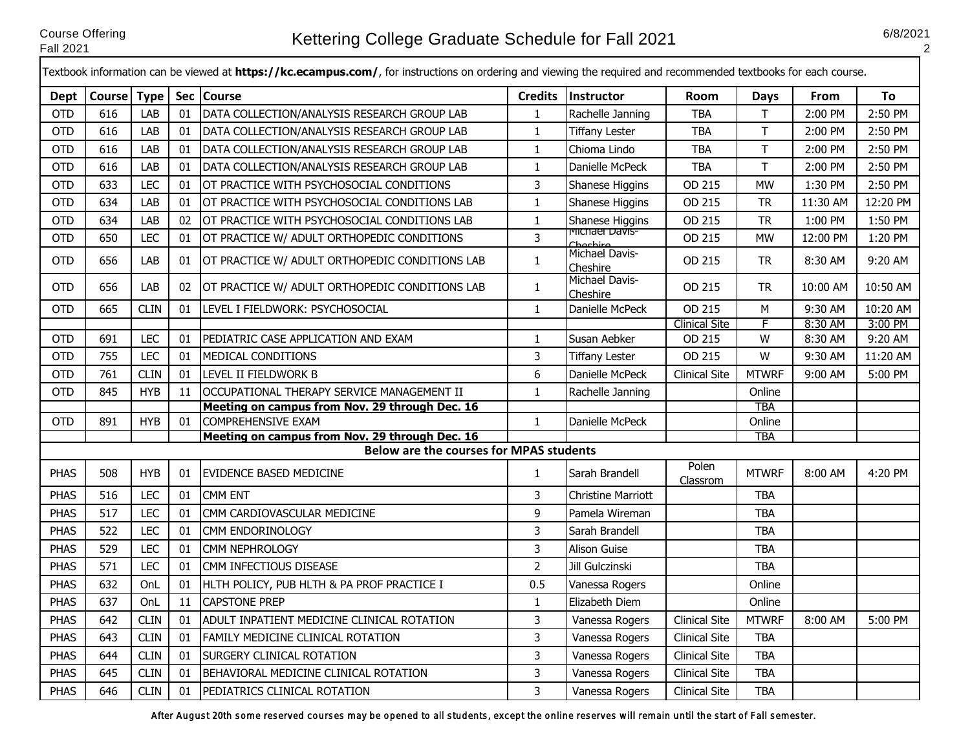┎

2

|             |               |             |    | Textbook information can be viewed at <b>https://kc.ecampus.com/</b> , for instructions on ordering and viewing the required and recommended textbooks for each course. |                |                                           |                      |                      |             |          |
|-------------|---------------|-------------|----|-------------------------------------------------------------------------------------------------------------------------------------------------------------------------|----------------|-------------------------------------------|----------------------|----------------------|-------------|----------|
| <b>Dept</b> | Course   Type |             |    | Sec   Course                                                                                                                                                            | <b>Credits</b> | <b>Instructor</b>                         | Room                 | <b>Days</b>          | <b>From</b> | To       |
| <b>OTD</b>  | 616           | LAB         | 01 | DATA COLLECTION/ANALYSIS RESEARCH GROUP LAB                                                                                                                             | $\mathbf{1}$   | Rachelle Janning                          | <b>TBA</b>           | $\mathsf T$          | 2:00 PM     | 2:50 PM  |
| <b>OTD</b>  | 616           | LAB         | 01 | DATA COLLECTION/ANALYSIS RESEARCH GROUP LAB                                                                                                                             | $\mathbf{1}$   | <b>Tiffany Lester</b>                     | <b>TBA</b>           | T                    | 2:00 PM     | 2:50 PM  |
| <b>OTD</b>  | 616           | LAB         | 01 | DATA COLLECTION/ANALYSIS RESEARCH GROUP LAB                                                                                                                             | $\mathbf{1}$   | Chioma Lindo                              | <b>TBA</b>           | $\mathsf T$          | 2:00 PM     | 2:50 PM  |
| <b>OTD</b>  | 616           | LAB         | 01 | DATA COLLECTION/ANALYSIS RESEARCH GROUP LAB                                                                                                                             | $\mathbf{1}$   | Danielle McPeck                           | <b>TBA</b>           | $\mathsf{T}$         | 2:00 PM     | 2:50 PM  |
| <b>OTD</b>  | 633           | <b>LEC</b>  | 01 | OT PRACTICE WITH PSYCHOSOCIAL CONDITIONS                                                                                                                                | 3              | Shanese Higgins                           | OD 215               | <b>MW</b>            | 1:30 PM     | 2:50 PM  |
| <b>OTD</b>  | 634           | LAB         | 01 | OT PRACTICE WITH PSYCHOSOCIAL CONDITIONS LAB                                                                                                                            | $\mathbf{1}$   | Shanese Higgins                           | OD 215               | <b>TR</b>            | 11:30 AM    | 12:20 PM |
| <b>OTD</b>  | 634           | LAB         | 02 | OT PRACTICE WITH PSYCHOSOCIAL CONDITIONS LAB                                                                                                                            | $\mathbf{1}$   | Shanese Higgins                           | OD 215               | <b>TR</b>            | 1:00 PM     | 1:50 PM  |
| <b>OTD</b>  | 650           | <b>LEC</b>  | 01 | OT PRACTICE W/ ADULT ORTHOPEDIC CONDITIONS                                                                                                                              | 3              | i <sup>v</sup> iichael Davis-<br>Chochiro | OD 215               | <b>MW</b>            | 12:00 PM    | 1:20 PM  |
| <b>OTD</b>  | 656           | LAB         | 01 | OT PRACTICE W/ ADULT ORTHOPEDIC CONDITIONS LAB                                                                                                                          | $\mathbf{1}$   | Michael Davis-<br>Cheshire                | OD 215               | <b>TR</b>            | 8:30 AM     | 9:20 AM  |
| <b>OTD</b>  | 656           | LAB         | 02 | OT PRACTICE W/ ADULT ORTHOPEDIC CONDITIONS LAB                                                                                                                          | $\mathbf{1}$   | Michael Davis-<br>Cheshire                | OD 215               | <b>TR</b>            | 10:00 AM    | 10:50 AM |
| <b>OTD</b>  | 665           | <b>CLIN</b> | 01 | LEVEL I FIELDWORK: PSYCHOSOCIAL                                                                                                                                         | $\mathbf{1}$   | Danielle McPeck                           | OD 215               | M                    | 9:30 AM     | 10:20 AM |
|             |               |             |    |                                                                                                                                                                         |                |                                           | <b>Clinical Site</b> | F                    | 8:30 AM     | 3:00 PM  |
| <b>OTD</b>  | 691           | <b>LEC</b>  | 01 | PEDIATRIC CASE APPLICATION AND EXAM                                                                                                                                     | $\mathbf{1}$   | Susan Aebker                              | OD 215               | W                    | 8:30 AM     | 9:20 AM  |
| <b>OTD</b>  | 755           | <b>LEC</b>  | 01 | MEDICAL CONDITIONS                                                                                                                                                      | 3              | <b>Tiffany Lester</b>                     | OD 215               | w                    | 9:30 AM     | 11:20 AM |
| <b>OTD</b>  | 761           | <b>CLIN</b> | 01 | LEVEL II FIELDWORK B                                                                                                                                                    | 6              | Danielle McPeck                           | <b>Clinical Site</b> | <b>MTWRF</b>         | $9:00$ AM   | 5:00 PM  |
| <b>OTD</b>  | 845           | <b>HYB</b>  | 11 | OCCUPATIONAL THERAPY SERVICE MANAGEMENT II                                                                                                                              | $\mathbf{1}$   | Rachelle Janning                          |                      | Online               |             |          |
| <b>OTD</b>  | 891           | <b>HYB</b>  | 01 | Meeting on campus from Nov. 29 through Dec. 16<br><b>COMPREHENSIVE EXAM</b>                                                                                             | $\mathbf{1}$   | Danielle McPeck                           |                      | <b>TBA</b><br>Online |             |          |
|             |               |             |    | Meeting on campus from Nov. 29 through Dec. 16                                                                                                                          |                |                                           |                      | <b>TBA</b>           |             |          |
|             |               |             |    | <b>Below are the courses for MPAS students</b>                                                                                                                          |                |                                           |                      |                      |             |          |
| <b>PHAS</b> | 508           | <b>HYB</b>  | 01 | <b>EVIDENCE BASED MEDICINE</b>                                                                                                                                          | $\mathbf{1}$   | Sarah Brandell                            | Polen<br>Classrom    | <b>MTWRF</b>         | 8:00 AM     | 4:20 PM  |
| <b>PHAS</b> | 516           | <b>LEC</b>  | 01 | <b>CMM ENT</b>                                                                                                                                                          | 3              | <b>Christine Marriott</b>                 |                      | <b>TBA</b>           |             |          |
| <b>PHAS</b> | 517           | <b>LEC</b>  | 01 | CMM CARDIOVASCULAR MEDICINE                                                                                                                                             | 9              | Pamela Wireman                            |                      | <b>TBA</b>           |             |          |
| <b>PHAS</b> | 522           | <b>LEC</b>  | 01 | CMM ENDORINOLOGY                                                                                                                                                        | $\overline{3}$ | Sarah Brandell                            |                      | <b>TBA</b>           |             |          |
| <b>PHAS</b> | 529           | <b>LEC</b>  | 01 | <b>CMM NEPHROLOGY</b>                                                                                                                                                   | $\overline{3}$ | <b>Alison Guise</b>                       |                      | <b>TBA</b>           |             |          |
| <b>PHAS</b> | 571           | <b>LEC</b>  | 01 | CMM INFECTIOUS DISEASE                                                                                                                                                  | $\overline{2}$ | Jill Gulczinski                           |                      | <b>TBA</b>           |             |          |
| <b>PHAS</b> | 632           | OnL         | 01 | HLTH POLICY, PUB HLTH & PA PROF PRACTICE I                                                                                                                              | 0.5            | Vanessa Rogers                            |                      | Online               |             |          |
| <b>PHAS</b> | 637           | OnL         | 11 | <b>CAPSTONE PREP</b>                                                                                                                                                    | $\mathbf{1}$   | Elizabeth Diem                            |                      | Online               |             |          |
| <b>PHAS</b> | 642           | <b>CLIN</b> | 01 | ADULT INPATIENT MEDICINE CLINICAL ROTATION                                                                                                                              | 3              | Vanessa Rogers                            | <b>Clinical Site</b> | <b>MTWRF</b>         | 8:00 AM     | 5:00 PM  |
| <b>PHAS</b> | 643           | <b>CLIN</b> | 01 | FAMILY MEDICINE CLINICAL ROTATION                                                                                                                                       | 3              | Vanessa Rogers                            | <b>Clinical Site</b> | <b>TBA</b>           |             |          |
| <b>PHAS</b> | 644           | <b>CLIN</b> | 01 | SURGERY CLINICAL ROTATION                                                                                                                                               | 3              | Vanessa Rogers                            | <b>Clinical Site</b> | <b>TBA</b>           |             |          |
| <b>PHAS</b> | 645           | <b>CLIN</b> | 01 | BEHAVIORAL MEDICINE CLINICAL ROTATION                                                                                                                                   | 3              | Vanessa Rogers                            | <b>Clinical Site</b> | <b>TBA</b>           |             |          |
| <b>PHAS</b> | 646           | <b>CLIN</b> | 01 | PEDIATRICS CLINICAL ROTATION                                                                                                                                            | 3              | Vanessa Rogers                            | <b>Clinical Site</b> | <b>TBA</b>           |             |          |

After August 20th some reserved courses may be opened to all students, except the online reserves will remain until the start of Fall semester.